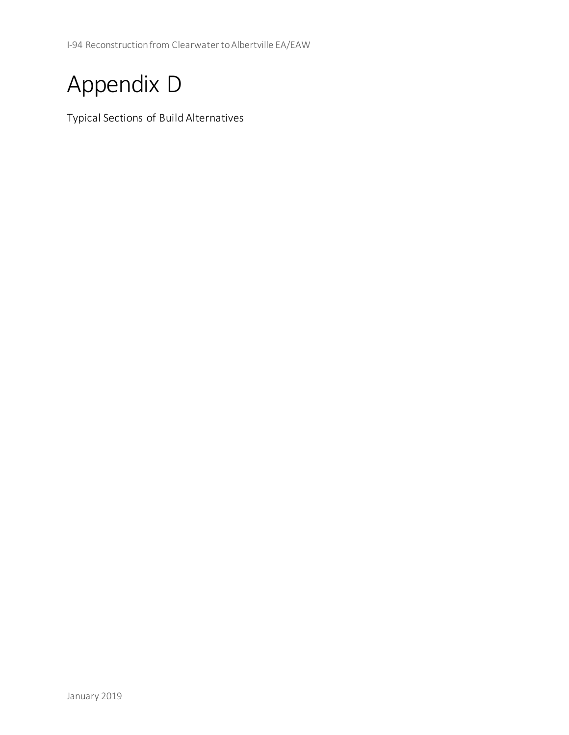I-94 Reconstruction from Clearwater to Albertville EA/EAW

## Appendix D

Typical Sections of Build Alternatives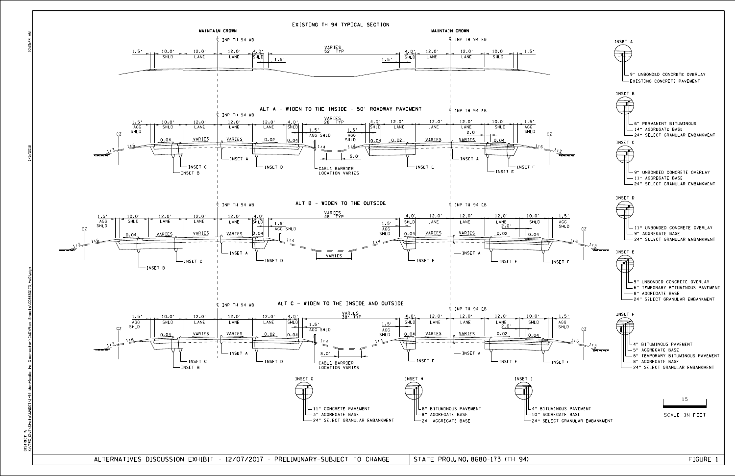DISTRICT<br>K:\TWC\_CI

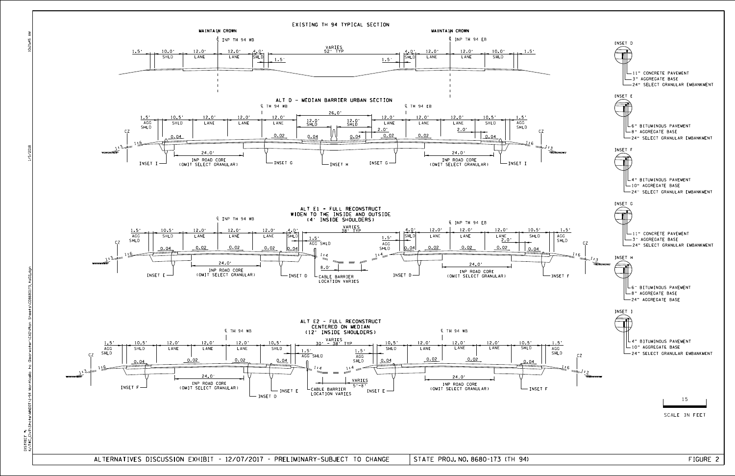ALTERNATIVES DISCUSSION EXHIBIT - 12/07/2017 - PRELIMINARY-SUBJECT TO CHANGE | STATE PROJ.NO.8680-173 (TH 94) FIGURE 2 STATE PROJ. NO. 8680-173 (TH 94)

10:21:45 AM

1/5/2018

K:\TWO\_NOT\I-94 MOTOR STATE\CONDOT\UNDOT\UPER\DAN SHEETS\CD8680174 MONTICELLO TO CONSEQUED ND0T\1-94 tate\M DISTRICT #: DISTRICT<br>K:\TWC\_CI

![](_page_2_Figure_0.jpeg)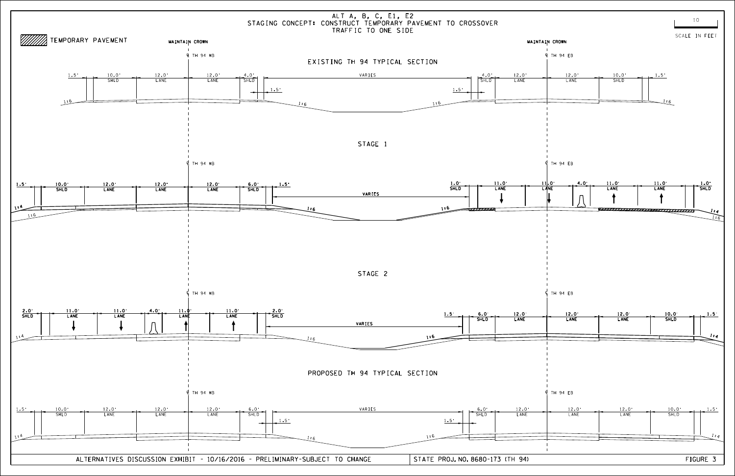![](_page_3_Figure_0.jpeg)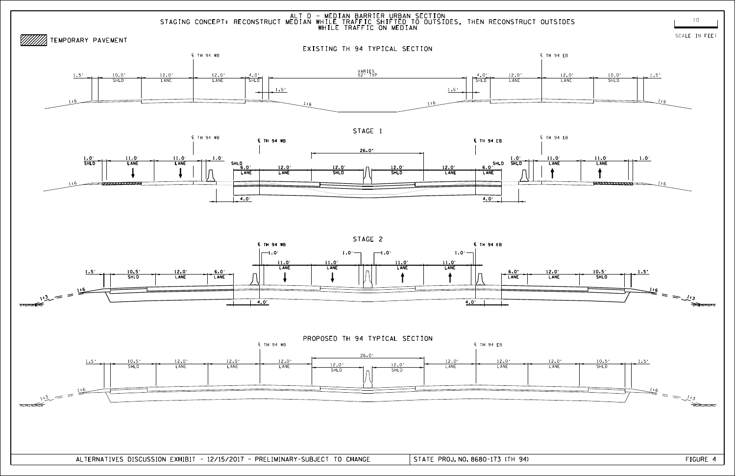![](_page_4_Figure_2.jpeg)

![](_page_4_Figure_4.jpeg)

![](_page_4_Figure_1.jpeg)

 $\overline{4.0}$ 

ALT D - MEDIAN BARRIER URBAN SECTION

![](_page_4_Figure_0.jpeg)

4.0'